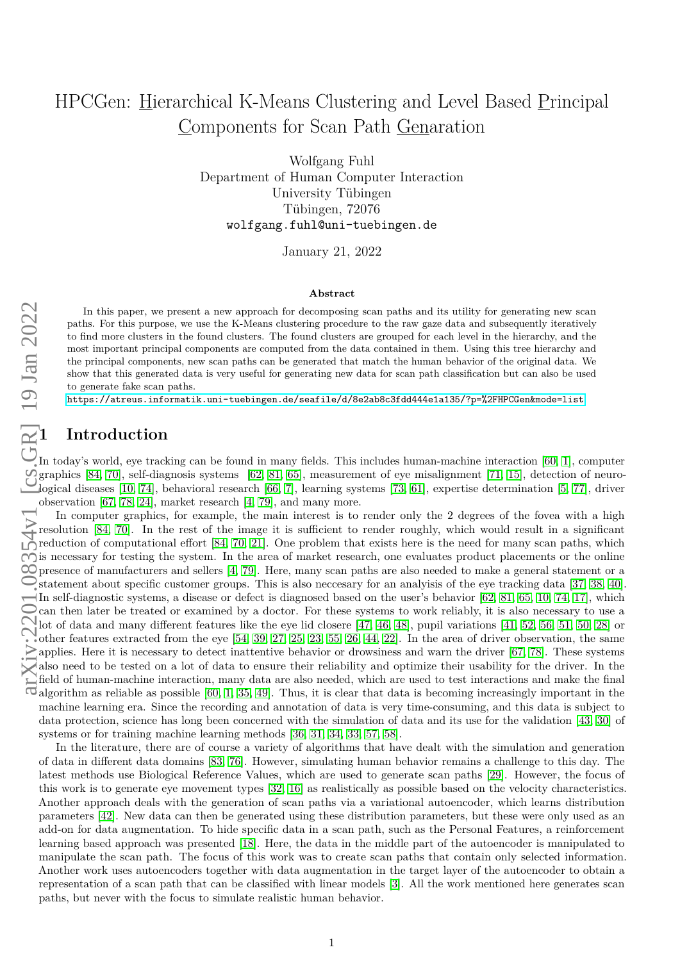# HPCGen: Hierarchical K-Means Clustering and Level Based Principal Components for Scan Path Genaration

Wolfgang Fuhl Department of Human Computer Interaction University Tübingen Tübingen, 72076 wolfgang.fuhl@uni-tuebingen.de

January 21, 2022

#### **Abstract**

In this paper, we present a new approach for decomposing scan paths and its utility for generating new scan paths. For this purpose, we use the K-Means clustering procedure to the raw gaze data and subsequently iteratively to find more clusters in the found clusters. The found clusters are grouped for each level in the hierarchy, and the most important principal components are computed from the data contained in them. Using this tree hierarchy and the principal components, new scan paths can be generated that match the human behavior of the original data. We show that this generated data is very useful for generating new data for scan path classification but can also be used to generate fake scan paths.

<https://atreus.informatik.uni-tuebingen.de/seafile/d/8e2ab8c3fdd444e1a135/?p=%2FHPCGen&mode=list>.

### **1 Introduction**

In today's world, eye tracking can be found in many fields. This includes human-machine interaction [\[60,](#page-8-0) [1\]](#page-5-0), computer graphics [\[84,](#page-9-0) [70\]](#page-9-1), self-diagnosis systems [\[62,](#page-8-1) [81,](#page-9-2) [65\]](#page-8-2), measurement of eye misalignment [\[71,](#page-9-3) [15\]](#page-6-0), detection of neurological diseases [\[10,](#page-6-1) [74\]](#page-9-4), behavioral research [\[66,](#page-8-3) [7\]](#page-6-2), learning systems [\[73,](#page-9-5) [61\]](#page-8-4), expertise determination [\[5,](#page-6-3) [77\]](#page-9-6), driver observation [\[67,](#page-8-5) [78,](#page-9-7) [24\]](#page-6-4), market research [\[4,](#page-5-1) [79\]](#page-9-8), and many more.

In computer graphics, for example, the main interest is to render only the 2 degrees of the fovea with a high resolution [\[84,](#page-9-0) [70\]](#page-9-1). In the rest of the image it is sufficient to render roughly, which would result in a significant reduction of computational effort [\[84,](#page-9-0) [70,](#page-9-1) [21\]](#page-6-5). One problem that exists here is the need for many scan paths, which is necessary for testing the system. In the area of market research, one evaluates product placements or the online presence of manufacturers and sellers [\[4,](#page-5-1) [79\]](#page-9-8). Here, many scan paths are also needed to make a general statement or a statement about specific customer groups. This is also neccesary for an analyisis of the eye tracking data [\[37,](#page-7-0) [38,](#page-7-1) [40\]](#page-7-2).  $\leftarrow$ In self-diagnostic systems, a disease or defect is diagnosed based on the user's behavior [\[62,](#page-8-1) [81,](#page-9-2) [65,](#page-8-2) [10,](#page-6-1) [74,](#page-9-4) [17\]](#page-6-6), which can then later be treated or examined by a doctor. For these systems to work reliably, it is also necessary to use a lot of data and many different features like the eye lid closere [\[47,](#page-7-3) [46,](#page-7-4) [48\]](#page-8-6), pupil variations [\[41,](#page-7-5) [52,](#page-8-7) [56,](#page-8-8) [51,](#page-8-9) [50,](#page-8-10) [28\]](#page-7-6) or other features extracted from the eye [\[54,](#page-8-11) [39,](#page-7-7) [27,](#page-7-8) [25,](#page-6-7) [23,](#page-6-8) [55,](#page-8-12) [26,](#page-6-9) [44,](#page-7-9) [22\]](#page-6-10). In the area of driver observation, the same  $\ge$  applies. Here it is necessary to detect inattentive behavior or drowsiness and warn the driver [\[67,](#page-8-5) [78\]](#page-9-7). These systems also need to be tested on a lot of data to ensure their reliability and optimize their usability for the driver. In the field of human-machine interaction, many data are also needed, which are used to test interactions and make the final  $\vec{\sigma}$  algorithm as reliable as possible [\[60,](#page-8-0) [1,](#page-5-0) [35,](#page-7-10) [49\]](#page-8-13). Thus, it is clear that data is becoming increasingly important in the machine learning era. Since the recording and annotation of data is very time-consuming, and this data is subject to data protection, science has long been concerned with the simulation of data and its use for the validation [\[43,](#page-7-11) [30\]](#page-7-12) of systems or for training machine learning methods [\[36,](#page-7-13) [31,](#page-7-14) [34,](#page-7-15) [33,](#page-7-16) [57,](#page-8-14) [58\]](#page-8-15).

In the literature, there are of course a variety of algorithms that have dealt with the simulation and generation of data in different data domains [\[83,](#page-9-9) [76\]](#page-9-10). However, simulating human behavior remains a challenge to this day. The latest methods use Biological Reference Values, which are used to generate scan paths [\[29\]](#page-7-17). However, the focus of this work is to generate eye movement types [\[32,](#page-7-18) [16\]](#page-6-11) as realistically as possible based on the velocity characteristics. Another approach deals with the generation of scan paths via a variational autoencoder, which learns distribution parameters [\[42\]](#page-7-19). New data can then be generated using these distribution parameters, but these were only used as an add-on for data augmentation. To hide specific data in a scan path, such as the Personal Features, a reinforcement learning based approach was presented [\[18\]](#page-6-12). Here, the data in the middle part of the autoencoder is manipulated to manipulate the scan path. The focus of this work was to create scan paths that contain only selected information. Another work uses autoencoders together with data augmentation in the target layer of the autoencoder to obtain a representation of a scan path that can be classified with linear models [\[3\]](#page-5-2). All the work mentioned here generates scan paths, but never with the focus to simulate realistic human behavior.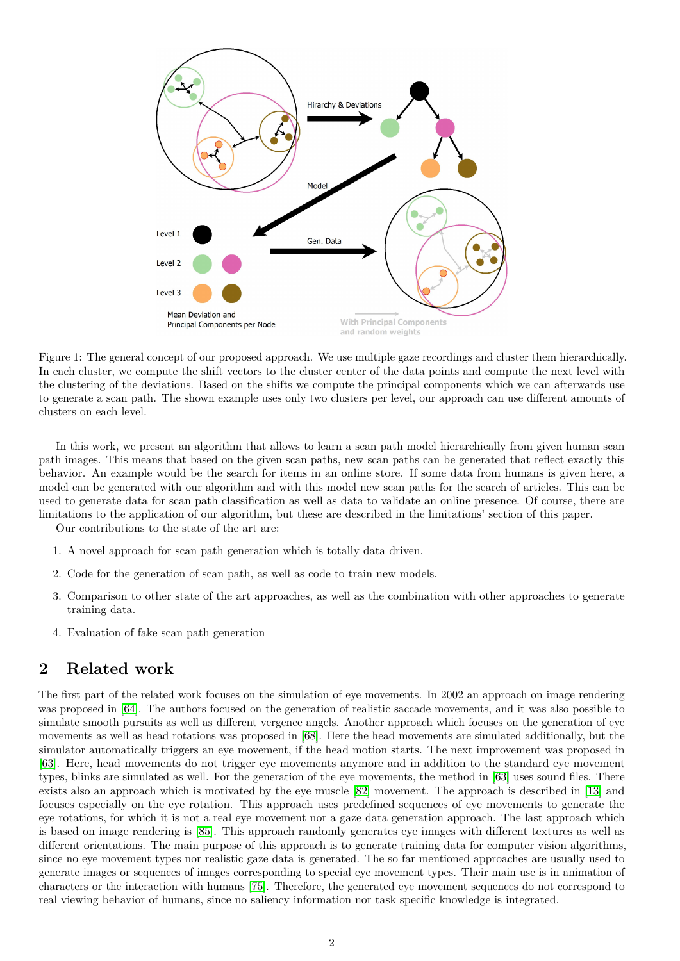

<span id="page-1-0"></span>Figure 1: The general concept of our proposed approach. We use multiple gaze recordings and cluster them hierarchically. In each cluster, we compute the shift vectors to the cluster center of the data points and compute the next level with the clustering of the deviations. Based on the shifts we compute the principal components which we can afterwards use to generate a scan path. The shown example uses only two clusters per level, our approach can use different amounts of clusters on each level.

In this work, we present an algorithm that allows to learn a scan path model hierarchically from given human scan path images. This means that based on the given scan paths, new scan paths can be generated that reflect exactly this behavior. An example would be the search for items in an online store. If some data from humans is given here, a model can be generated with our algorithm and with this model new scan paths for the search of articles. This can be used to generate data for scan path classification as well as data to validate an online presence. Of course, there are limitations to the application of our algorithm, but these are described in the limitations' section of this paper.

Our contributions to the state of the art are:

- 1. A novel approach for scan path generation which is totally data driven.
- 2. Code for the generation of scan path, as well as code to train new models.
- 3. Comparison to other state of the art approaches, as well as the combination with other approaches to generate training data.
- 4. Evaluation of fake scan path generation

## **2 Related work**

The first part of the related work focuses on the simulation of eye movements. In 2002 an approach on image rendering was proposed in [\[64\]](#page-8-16). The authors focused on the generation of realistic saccade movements, and it was also possible to simulate smooth pursuits as well as different vergence angels. Another approach which focuses on the generation of eye movements as well as head rotations was proposed in [\[68\]](#page-8-17). Here the head movements are simulated additionally, but the simulator automatically triggers an eye movement, if the head motion starts. The next improvement was proposed in [\[63\]](#page-8-18). Here, head movements do not trigger eye movements anymore and in addition to the standard eye movement types, blinks are simulated as well. For the generation of the eye movements, the method in [\[63\]](#page-8-18) uses sound files. There exists also an approach which is motivated by the eye muscle [\[82\]](#page-9-11) movement. The approach is described in [\[13\]](#page-6-13) and focuses especially on the eye rotation. This approach uses predefined sequences of eye movements to generate the eye rotations, for which it is not a real eye movement nor a gaze data generation approach. The last approach which is based on image rendering is [\[85\]](#page-9-12). This approach randomly generates eye images with different textures as well as different orientations. The main purpose of this approach is to generate training data for computer vision algorithms, since no eye movement types nor realistic gaze data is generated. The so far mentioned approaches are usually used to generate images or sequences of images corresponding to special eye movement types. Their main use is in animation of characters or the interaction with humans [\[75\]](#page-9-13). Therefore, the generated eye movement sequences do not correspond to real viewing behavior of humans, since no saliency information nor task specific knowledge is integrated.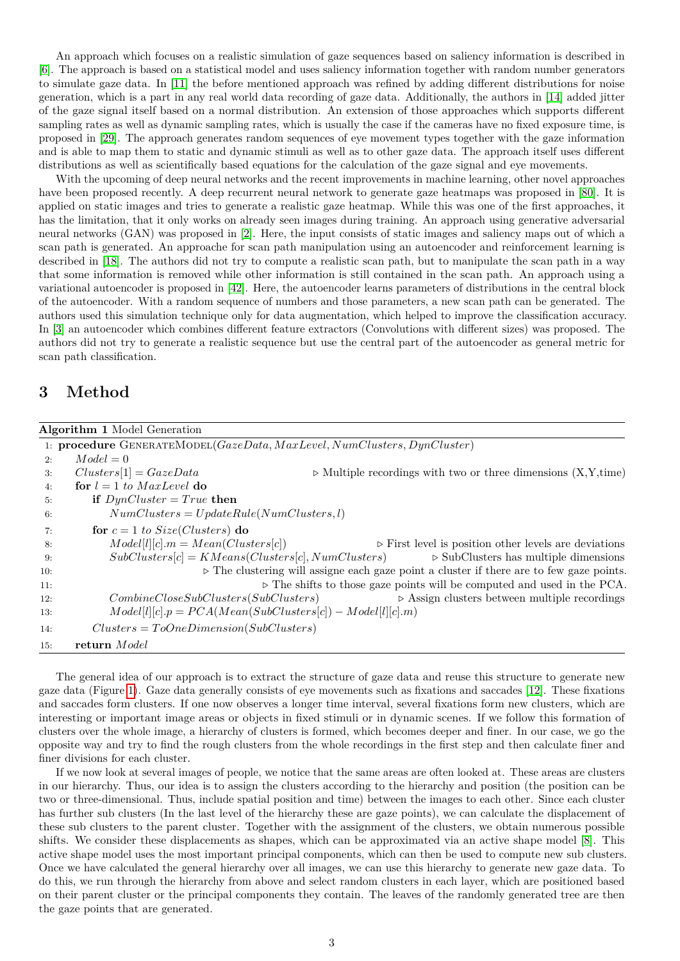An approach which focuses on a realistic simulation of gaze sequences based on saliency information is described in [\[6\]](#page-6-14). The approach is based on a statistical model and uses saliency information together with random number generators to simulate gaze data. In [\[11\]](#page-6-15) the before mentioned approach was refined by adding different distributions for noise generation, which is a part in any real world data recording of gaze data. Additionally, the authors in [\[14\]](#page-6-16) added jitter of the gaze signal itself based on a normal distribution. An extension of those approaches which supports different sampling rates as well as dynamic sampling rates, which is usually the case if the cameras have no fixed exposure time, is proposed in [\[29\]](#page-7-17). The approach generates random sequences of eye movement types together with the gaze information and is able to map them to static and dynamic stimuli as well as to other gaze data. The approach itself uses different distributions as well as scientifically based equations for the calculation of the gaze signal and eye movements.

With the upcoming of deep neural networks and the recent improvements in machine learning, other novel approaches have been proposed recently. A deep recurrent neural network to generate gaze heatmaps was proposed in [\[80\]](#page-9-14). It is applied on static images and tries to generate a realistic gaze heatmap. While this was one of the first approaches, it has the limitation, that it only works on already seen images during training. An approach using generative adversarial neural networks (GAN) was proposed in [\[2\]](#page-5-3). Here, the input consists of static images and saliency maps out of which a scan path is generated. An approache for scan path manipulation using an autoencoder and reinforcement learning is described in [\[18\]](#page-6-12). The authors did not try to compute a realistic scan path, but to manipulate the scan path in a way that some information is removed while other information is still contained in the scan path. An approach using a variational autoencoder is proposed in [\[42\]](#page-7-19). Here, the autoencoder learns parameters of distributions in the central block of the autoencoder. With a random sequence of numbers and those parameters, a new scan path can be generated. The authors used this simulation technique only for data augmentation, which helped to improve the classification accuracy. In [\[3\]](#page-5-2) an autoencoder which combines different feature extractors (Convolutions with different sizes) was proposed. The authors did not try to generate a realistic sequence but use the central part of the autoencoder as general metric for scan path classification.

### **3 Method**

<span id="page-2-0"></span>

|     | <b>Algorithm 1</b> Model Generation                                                                          |
|-----|--------------------------------------------------------------------------------------------------------------|
|     | 1: procedure $GENERATEMODEL(Gaze Data, MaxLevel, NumClusters, DynCluster)$                                   |
| 2:  | $Model = 0$                                                                                                  |
| 3:  | $Clusters[1] = GazeData$<br>$\triangleright$ Multiple recordings with two or three dimensions $(X, Y, time)$ |
| 4:  | for $l = 1$ to MaxLevel do                                                                                   |
| 5:  | if $DynCluster = True$ then                                                                                  |
| 6:  | $NumClusters = UpdateRule(NumClusters, l)$                                                                   |
| 7:  | for $c = 1$ to Size(Clusters) do                                                                             |
| 8:  | $Model[l][c].m = Mean(Clusters[c])$<br>$\triangleright$ First level is position other levels are deviations  |
| 9:  | $SubClusters[c] = KMeans(Clusters[c], NumClusters)$<br>$\triangleright$ SubClusters has multiple dimensions  |
| 10: | $\triangleright$ The clustering will assigne each gaze point a cluster if there are to few gaze points.      |
| 11: | $\triangleright$ The shifts to those gaze points will be computed and used in the PCA.                       |
| 12: | $\triangleright$ Assign clusters between multiple recordings<br>CombineCloseSubClusters(SubClusters)         |
| 13: | $Model[l][c].p = PCA(Mean(SubClusters[c]) - Model[l][c].m)$                                                  |
| 14: | $Clusters = ToOneDimension(SubClusters)$                                                                     |
| 15: | return Model                                                                                                 |

The general idea of our approach is to extract the structure of gaze data and reuse this structure to generate new gaze data (Figure [1\)](#page-1-0). Gaze data generally consists of eye movements such as fixations and saccades [\[12\]](#page-6-17). These fixations and saccades form clusters. If one now observes a longer time interval, several fixations form new clusters, which are interesting or important image areas or objects in fixed stimuli or in dynamic scenes. If we follow this formation of clusters over the whole image, a hierarchy of clusters is formed, which becomes deeper and finer. In our case, we go the opposite way and try to find the rough clusters from the whole recordings in the first step and then calculate finer and finer divisions for each cluster.

If we now look at several images of people, we notice that the same areas are often looked at. These areas are clusters in our hierarchy. Thus, our idea is to assign the clusters according to the hierarchy and position (the position can be two or three-dimensional. Thus, include spatial position and time) between the images to each other. Since each cluster has further sub clusters (In the last level of the hierarchy these are gaze points), we can calculate the displacement of these sub clusters to the parent cluster. Together with the assignment of the clusters, we obtain numerous possible shifts. We consider these displacements as shapes, which can be approximated via an active shape model [\[8\]](#page-6-18). This active shape model uses the most important principal components, which can then be used to compute new sub clusters. Once we have calculated the general hierarchy over all images, we can use this hierarchy to generate new gaze data. To do this, we run through the hierarchy from above and select random clusters in each layer, which are positioned based on their parent cluster or the principal components they contain. The leaves of the randomly generated tree are then the gaze points that are generated.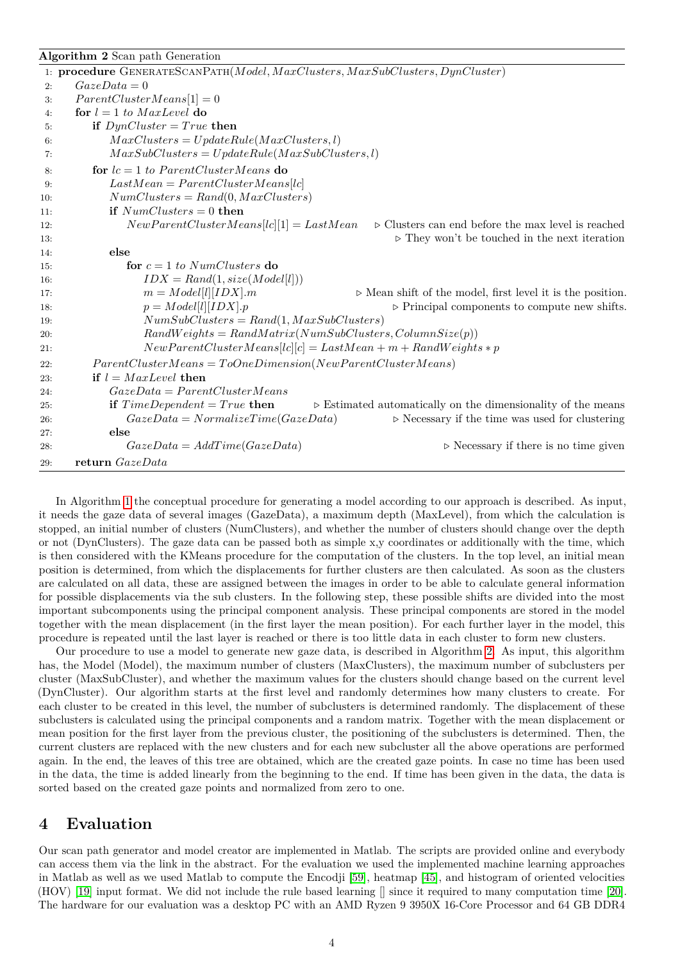### <span id="page-3-0"></span>**Algorithm 2** Scan path Generation

|     | 1: procedure GENERATESCANPATH(Model, MaxClusters, MaxSubClusters, DynCluster)                                  |
|-----|----------------------------------------------------------------------------------------------------------------|
| 2:  | $GazeData = 0$                                                                                                 |
| 3:  | $ParentClusterMeans[1] = 0$                                                                                    |
| 4:  | for $l = 1$ to MaxLevel do                                                                                     |
| 5:  | if $DynCluster = True$ then                                                                                    |
| 6:  | $MaxClusters = UpdateRule(MaxClusters, l)$                                                                     |
| 7:  | $MaxSubClusters = UpdateRule(MaxSubClusters, l)$                                                               |
| 8:  | for $lc = 1$ to ParentClusterMeans do                                                                          |
| 9:  | $LastMean = ParentClusterMeans[lc]$                                                                            |
| 10: | $NumClusters = Rand(0, MaxClusters)$                                                                           |
| 11: | if $NumClusters = 0$ then                                                                                      |
| 12: | $NewParentClusterMeans[lc][1] = LastMean$<br>$\triangleright$ Clusters can end before the max level is reached |
| 13: | $\triangleright$ They won't be touched in the next iteration                                                   |
| 14: | else                                                                                                           |
| 15: | for $c = 1$ to NumClusters do                                                                                  |
| 16: | $IDX = Rand(1, size(Model[l]))$                                                                                |
| 17: | $m = Model[l][IDX].m$<br>$\triangleright$ Mean shift of the model, first level it is the position.             |
| 18: | $p = Model[l][IDX].p$<br>$\triangleright$ Principal components to compute new shifts.                          |
| 19: | $NumSubClusters = Rand(1, MaxSubClusters)$                                                                     |
| 20: | $RandWeights = RandMatrix(NumSubClusters, ColumnSize(p))$                                                      |
| 21: | $NewParentCluster Means[lc][c] = LastMean + m + RandWeights * p$                                               |
| 22: | $ParentCluster Means = ToOneDimension(NewParentCluster Means)$                                                 |
| 23: | if $l = MaxLevel$ then                                                                                         |
| 24: | $GazeData = ParentCluster Means$                                                                               |
| 25: | if $TimeDependent = True$ then<br>$\triangleright$ Estimated automatically on the dimensionality of the means  |
| 26: | $GazeData = NormalizeTime(GazeData)$<br>$\triangleright$ Necessary if the time was used for clustering         |
| 27: | else                                                                                                           |
| 28: | $\triangleright$ Necessary if there is no time given<br>$GazeData = AddTime(GazeData)$                         |
| 29: | return GazeData                                                                                                |

In Algorithm [1](#page-2-0) the conceptual procedure for generating a model according to our approach is described. As input, it needs the gaze data of several images (GazeData), a maximum depth (MaxLevel), from which the calculation is stopped, an initial number of clusters (NumClusters), and whether the number of clusters should change over the depth or not (DynClusters). The gaze data can be passed both as simple x,y coordinates or additionally with the time, which is then considered with the KMeans procedure for the computation of the clusters. In the top level, an initial mean position is determined, from which the displacements for further clusters are then calculated. As soon as the clusters are calculated on all data, these are assigned between the images in order to be able to calculate general information for possible displacements via the sub clusters. In the following step, these possible shifts are divided into the most important subcomponents using the principal component analysis. These principal components are stored in the model together with the mean displacement (in the first layer the mean position). For each further layer in the model, this procedure is repeated until the last layer is reached or there is too little data in each cluster to form new clusters.

Our procedure to use a model to generate new gaze data, is described in Algorithm [2.](#page-3-0) As input, this algorithm has, the Model (Model), the maximum number of clusters (MaxClusters), the maximum number of subclusters per cluster (MaxSubCluster), and whether the maximum values for the clusters should change based on the current level (DynCluster). Our algorithm starts at the first level and randomly determines how many clusters to create. For each cluster to be created in this level, the number of subclusters is determined randomly. The displacement of these subclusters is calculated using the principal components and a random matrix. Together with the mean displacement or mean position for the first layer from the previous cluster, the positioning of the subclusters is determined. Then, the current clusters are replaced with the new clusters and for each new subcluster all the above operations are performed again. In the end, the leaves of this tree are obtained, which are the created gaze points. In case no time has been used in the data, the time is added linearly from the beginning to the end. If time has been given in the data, the data is sorted based on the created gaze points and normalized from zero to one.

### **4 Evaluation**

Our scan path generator and model creator are implemented in Matlab. The scripts are provided online and everybody can access them via the link in the abstract. For the evaluation we used the implemented machine learning approaches in Matlab as well as we used Matlab to compute the Encodji [\[59\]](#page-8-19), heatmap [\[45\]](#page-7-20), and histogram of oriented velocities (HOV) [\[19\]](#page-6-19) input format. We did not include the rule based learning [] since it required to many computation time [\[20\]](#page-6-20). The hardware for our evaluation was a desktop PC with an AMD Ryzen 9 3950X 16-Core Processor and 64 GB DDR4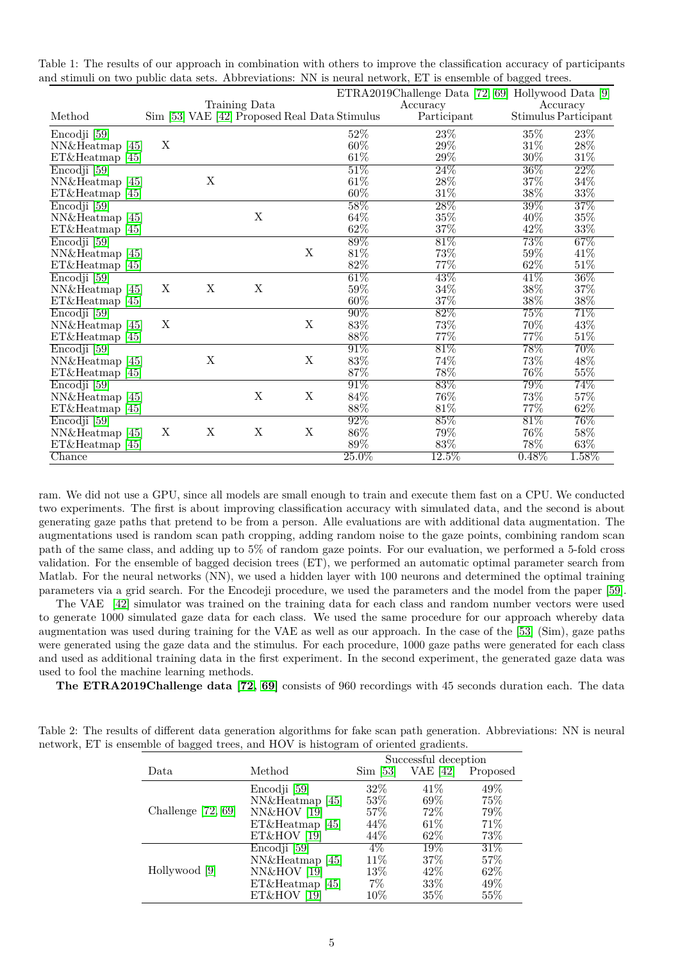|                   |   |             |                                               |             |                   | ETRA2019Challenge Data [72, 69] Hollywood Data [9] |          |                      |
|-------------------|---|-------------|-----------------------------------------------|-------------|-------------------|----------------------------------------------------|----------|----------------------|
|                   |   |             | Training Data                                 |             |                   | Accuracy                                           |          | Accuracy             |
| Method            |   |             | Sim [53] VAE [42] Proposed Real Data Stimulus |             |                   | Participant                                        |          | Stimulus Participant |
| Encodji [59]      |   |             |                                               |             | 52%               | 23\%                                               | $35\%$   | 23\%                 |
| NN&Heatmap [45]   | X |             |                                               |             | 60%               | 29%                                                | $31\%$   | $28\%$               |
| ET&Heatmap [45]   |   |             |                                               |             | $61\%$            | 29\%                                               | $30\%$   | $31\%$               |
| Encodji [59]      |   |             |                                               |             | $51\%$            | $24\%$                                             | $36\%$   | $22\%$               |
| NN&Heatmap [45]   |   | $\mathbf X$ |                                               |             | $61\%$            | $28\%$                                             | $37\%$   | $34\%$               |
| ET&Heatmap [45]   |   |             |                                               |             | 60%               | $31\%$                                             | $38\%$   | $33\%$               |
| Encodji [59]      |   |             |                                               |             | $58\%$            | 28%                                                | $39\%$   | $37\%$               |
| NN&Heatmap [45]   |   |             | X                                             |             | 64%               | $35\%$                                             | 40%      | $35\%$               |
| ET&Heatmap [45]   |   |             |                                               |             | 62%               | $37\%$                                             | 42%      | $33\%$               |
| Encodji [59]      |   |             |                                               |             | $\overline{89\%}$ | $81\%$                                             | 73%      | $67\%$               |
| NN&Heatmap [45]   |   |             |                                               | X           | $81\%$            | 73%                                                | $59\%$   | 41\%                 |
| $ET&Heatmap$ [45] |   |             |                                               |             | 82%               | $77\%$                                             | $62\%$   | $51\%$               |
| Encodji [59]      |   |             |                                               |             | $61\%$            | 43\%                                               | 41\%     | $36\%$               |
| NN&Heatmap [45]   | X | X           | X                                             |             | 59%               | 34%                                                | $38\%$   | 37%                  |
| ET&Heatmap [45]   |   |             |                                               |             | $60\%$            | 37%                                                | $38\%$   | $38\%$               |
| Encodji [59]      |   |             |                                               |             | $90\%$            | 82%                                                | 75%      | $71\%$               |
| NN&Heatmap [45]   | X |             |                                               | X           | $83\%$            | 73%                                                | 70%      | 43%                  |
| ET&Heatmap [45]   |   |             |                                               |             | 88%               | 77%                                                | 77%      | 51\%                 |
| Encodji [59]      |   |             |                                               |             | $91\%$            | $81\%$                                             | 78%      | $70\%$               |
| NN&Heatmap [45]   |   | $\mathbf X$ |                                               | $\mathbf X$ | $83\%$            | 74%                                                | 73%      | 48%                  |
| ET&Heatmap [45]   |   |             |                                               |             | 87%               | $78\%$                                             | 76%      | $55\%$               |
| Encodji [59]      |   |             |                                               |             | $91\%$            | $83\%$                                             | 79%      | 74%                  |
| NN&Heatmap [45]   |   |             | X                                             | X           | 84%               | 76%                                                | 73%      | 57%                  |
| ET&Heatmap [45]   |   |             |                                               |             | 88%               | $81\%$                                             | 77%      | $62\%$               |
| Encodji [59]      |   |             |                                               |             | $92\%$            | $85\%$                                             | $81\%$   | $76\%$               |
| NN&Heatmap [45]   | Χ | X           | X                                             | X           | $86\%$            | 79%                                                | 76%      | 58\%                 |
| ET&Heatmap [45]   |   |             |                                               |             | 89%               | 83%                                                | 78%      | 63%                  |
| Chance            |   |             |                                               |             | $25.0\%$          | $12.5\%$                                           | $0.48\%$ | $1.58\%$             |

<span id="page-4-0"></span>Table 1: The results of our approach in combination with others to improve the classification accuracy of participants and stimuli on two public data sets. Abbreviations: NN is neural network, ET is ensemble of bagged trees.

ram. We did not use a GPU, since all models are small enough to train and execute them fast on a CPU. We conducted two experiments. The first is about improving classification accuracy with simulated data, and the second is about generating gaze paths that pretend to be from a person. Alle evaluations are with additional data augmentation. The augmentations used is random scan path cropping, adding random noise to the gaze points, combining random scan path of the same class, and adding up to 5% of random gaze points. For our evaluation, we performed a 5-fold cross validation. For the ensemble of bagged decision trees (ET), we performed an automatic optimal parameter search from Matlab. For the neural networks (NN), we used a hidden layer with 100 neurons and determined the optimal training parameters via a grid search. For the Encodeji procedure, we used the parameters and the model from the paper [\[59\]](#page-8-19).

The VAE [\[42\]](#page-7-19) simulator was trained on the training data for each class and random number vectors were used to generate 1000 simulated gaze data for each class. We used the same procedure for our approach whereby data augmentation was used during training for the VAE as well as our approach. In the case of the [\[53\]](#page-8-21) (Sim), gaze paths were generated using the gaze data and the stimulus. For each procedure, 1000 gaze paths were generated for each class and used as additional training data in the first experiment. In the second experiment, the generated gaze data was used to fool the machine learning methods.

**The ETRA2019Challenge data [\[72,](#page-9-15) [69\]](#page-8-20)** consists of 960 recordings with 45 seconds duration each. The data

<span id="page-4-1"></span>Table 2: The results of different data generation algorithms for fake scan path generation. Abbreviations: NN is neural network, ET is ensemble of bagged trees, and HOV is histogram of oriented gradients.

|                      |                             | Successful deception |          |          |  |
|----------------------|-----------------------------|----------------------|----------|----------|--|
| Data                 | Method                      | $Sim$ [53]           | VAE [42] | Proposed |  |
|                      | Encodji [59]                | $32\%$               | 41\%     | 49%      |  |
|                      | NN&Heatmap [45]             | 53%                  | 69%      | 75%      |  |
| Challenge $[72, 69]$ | <b>NN&amp;HOV</b> [19]      | $57\%$               | 72\%     | 79\%     |  |
|                      | ET&Heatmap [45]             | 44%                  | 61\%     | 71%      |  |
|                      | ET&HOV<br>$\vert 19 \vert$  | 44%                  | 62\%     | 73%      |  |
|                      | Encodji [59]                | $4\%$                | $19\%$   | $31\%$   |  |
|                      | NN&Heatmap [45]             | 11%                  | 37\%     | 57%      |  |
| Hollywood [9]        | <b>NN&amp;HOV</b> [19]      | 13%                  | 42\%     | 62%      |  |
|                      | ET&Heatmap [45]             | $7\%$                | 33%      | $49\%$   |  |
|                      | ET&HOV<br>$\left 19\right $ | $10\%$               | 35%      | 55%      |  |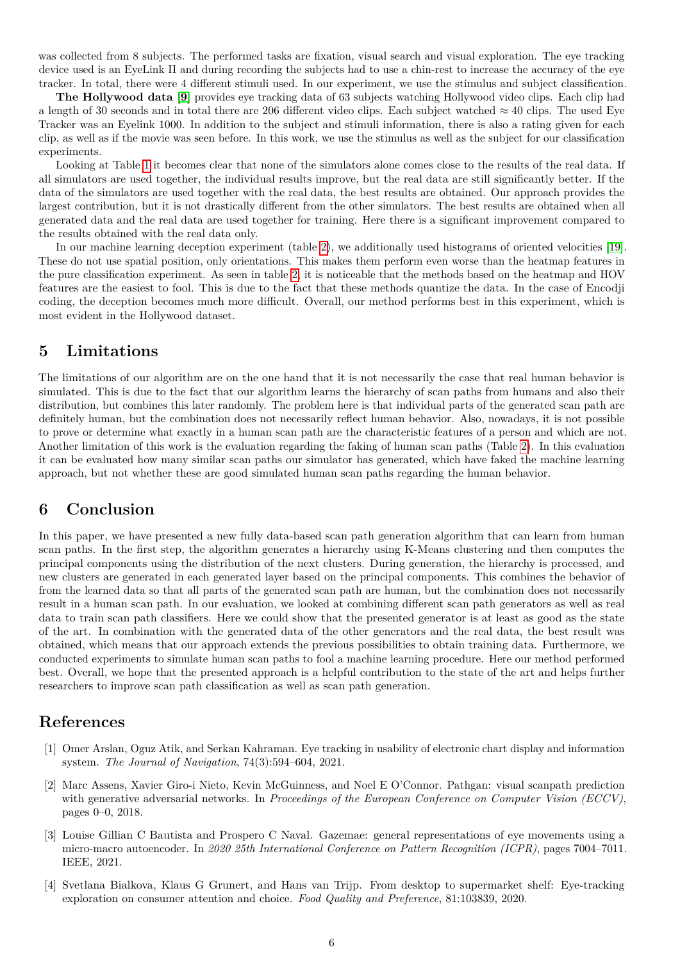was collected from 8 subjects. The performed tasks are fixation, visual search and visual exploration. The eye tracking device used is an EyeLink II and during recording the subjects had to use a chin-rest to increase the accuracy of the eye tracker. In total, there were 4 different stimuli used. In our experiment, we use the stimulus and subject classification.

**The Hollywood data [\[9\]](#page-6-21)** provides eye tracking data of 63 subjects watching Hollywood video clips. Each clip had a length of 30 seconds and in total there are 206 different video clips. Each subject watched  $\approx$  40 clips. The used Eye Tracker was an Eyelink 1000. In addition to the subject and stimuli information, there is also a rating given for each clip, as well as if the movie was seen before. In this work, we use the stimulus as well as the subject for our classification experiments.

Looking at Table [1](#page-4-0) it becomes clear that none of the simulators alone comes close to the results of the real data. If all simulators are used together, the individual results improve, but the real data are still significantly better. If the data of the simulators are used together with the real data, the best results are obtained. Our approach provides the largest contribution, but it is not drastically different from the other simulators. The best results are obtained when all generated data and the real data are used together for training. Here there is a significant improvement compared to the results obtained with the real data only.

In our machine learning deception experiment (table [2\)](#page-4-1), we additionally used histograms of oriented velocities [\[19\]](#page-6-19). These do not use spatial position, only orientations. This makes them perform even worse than the heatmap features in the pure classification experiment. As seen in table [2,](#page-4-1) it is noticeable that the methods based on the heatmap and HOV features are the easiest to fool. This is due to the fact that these methods quantize the data. In the case of Encodji coding, the deception becomes much more difficult. Overall, our method performs best in this experiment, which is most evident in the Hollywood dataset.

### **5 Limitations**

The limitations of our algorithm are on the one hand that it is not necessarily the case that real human behavior is simulated. This is due to the fact that our algorithm learns the hierarchy of scan paths from humans and also their distribution, but combines this later randomly. The problem here is that individual parts of the generated scan path are definitely human, but the combination does not necessarily reflect human behavior. Also, nowadays, it is not possible to prove or determine what exactly in a human scan path are the characteristic features of a person and which are not. Another limitation of this work is the evaluation regarding the faking of human scan paths (Table [2\)](#page-4-1). In this evaluation it can be evaluated how many similar scan paths our simulator has generated, which have faked the machine learning approach, but not whether these are good simulated human scan paths regarding the human behavior.

### **6 Conclusion**

In this paper, we have presented a new fully data-based scan path generation algorithm that can learn from human scan paths. In the first step, the algorithm generates a hierarchy using K-Means clustering and then computes the principal components using the distribution of the next clusters. During generation, the hierarchy is processed, and new clusters are generated in each generated layer based on the principal components. This combines the behavior of from the learned data so that all parts of the generated scan path are human, but the combination does not necessarily result in a human scan path. In our evaluation, we looked at combining different scan path generators as well as real data to train scan path classifiers. Here we could show that the presented generator is at least as good as the state of the art. In combination with the generated data of the other generators and the real data, the best result was obtained, which means that our approach extends the previous possibilities to obtain training data. Furthermore, we conducted experiments to simulate human scan paths to fool a machine learning procedure. Here our method performed best. Overall, we hope that the presented approach is a helpful contribution to the state of the art and helps further researchers to improve scan path classification as well as scan path generation.

### **References**

- <span id="page-5-0"></span>[1] Omer Arslan, Oguz Atik, and Serkan Kahraman. Eye tracking in usability of electronic chart display and information system. *The Journal of Navigation*, 74(3):594–604, 2021.
- <span id="page-5-3"></span>[2] Marc Assens, Xavier Giro-i Nieto, Kevin McGuinness, and Noel E O'Connor. Pathgan: visual scanpath prediction with generative adversarial networks. In *Proceedings of the European Conference on Computer Vision (ECCV)*, pages 0–0, 2018.
- <span id="page-5-2"></span>[3] Louise Gillian C Bautista and Prospero C Naval. Gazemae: general representations of eye movements using a micro-macro autoencoder. In *2020 25th International Conference on Pattern Recognition (ICPR)*, pages 7004–7011. IEEE, 2021.
- <span id="page-5-1"></span>[4] Svetlana Bialkova, Klaus G Grunert, and Hans van Trijp. From desktop to supermarket shelf: Eye-tracking exploration on consumer attention and choice. *Food Quality and Preference*, 81:103839, 2020.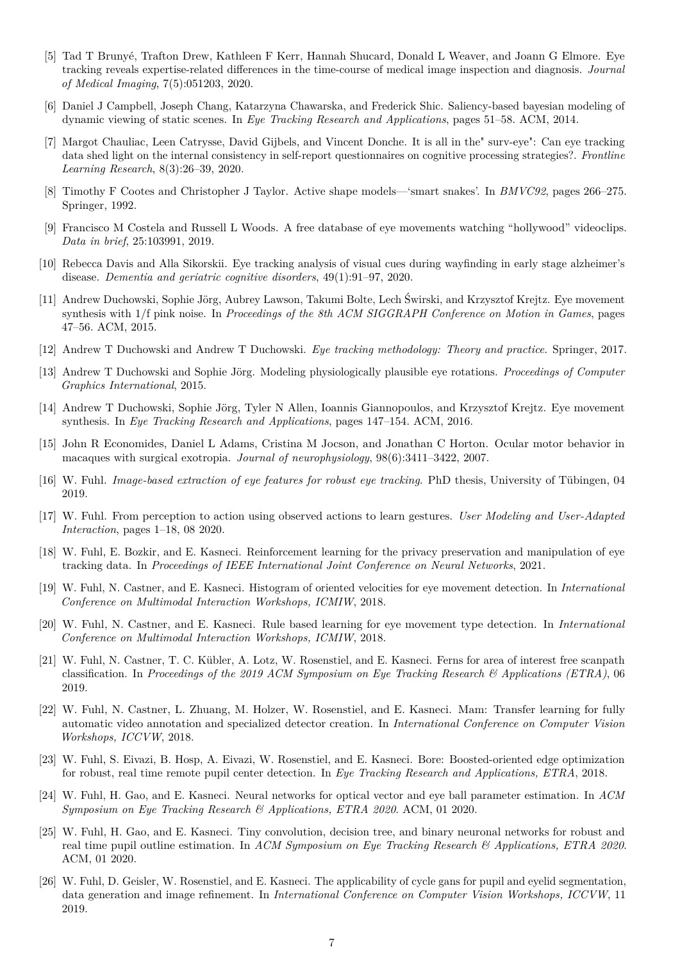- <span id="page-6-3"></span>[5] Tad T Brunyé, Trafton Drew, Kathleen F Kerr, Hannah Shucard, Donald L Weaver, and Joann G Elmore. Eye tracking reveals expertise-related differences in the time-course of medical image inspection and diagnosis. *Journal of Medical Imaging*, 7(5):051203, 2020.
- <span id="page-6-14"></span>[6] Daniel J Campbell, Joseph Chang, Katarzyna Chawarska, and Frederick Shic. Saliency-based bayesian modeling of dynamic viewing of static scenes. In *Eye Tracking Research and Applications*, pages 51–58. ACM, 2014.
- <span id="page-6-2"></span>[7] Margot Chauliac, Leen Catrysse, David Gijbels, and Vincent Donche. It is all in the" surv-eye": Can eye tracking data shed light on the internal consistency in self-report questionnaires on cognitive processing strategies?. *Frontline Learning Research*, 8(3):26–39, 2020.
- <span id="page-6-18"></span>[8] Timothy F Cootes and Christopher J Taylor. Active shape models—'smart snakes'. In *BMVC92*, pages 266–275. Springer, 1992.
- <span id="page-6-21"></span>[9] Francisco M Costela and Russell L Woods. A free database of eye movements watching "hollywood" videoclips. *Data in brief*, 25:103991, 2019.
- <span id="page-6-1"></span>[10] Rebecca Davis and Alla Sikorskii. Eye tracking analysis of visual cues during wayfinding in early stage alzheimer's disease. *Dementia and geriatric cognitive disorders*, 49(1):91–97, 2020.
- <span id="page-6-15"></span>[11] Andrew Duchowski, Sophie Jörg, Aubrey Lawson, Takumi Bolte, Lech Świrski, and Krzysztof Krejtz. Eye movement synthesis with 1/f pink noise. In *Proceedings of the 8th ACM SIGGRAPH Conference on Motion in Games*, pages 47–56. ACM, 2015.
- <span id="page-6-17"></span>[12] Andrew T Duchowski and Andrew T Duchowski. *Eye tracking methodology: Theory and practice*. Springer, 2017.
- <span id="page-6-13"></span>[13] Andrew T Duchowski and Sophie Jörg. Modeling physiologically plausible eye rotations. *Proceedings of Computer Graphics International*, 2015.
- <span id="page-6-16"></span>[14] Andrew T Duchowski, Sophie Jörg, Tyler N Allen, Ioannis Giannopoulos, and Krzysztof Krejtz. Eye movement synthesis. In *Eye Tracking Research and Applications*, pages 147–154. ACM, 2016.
- <span id="page-6-0"></span>[15] John R Economides, Daniel L Adams, Cristina M Jocson, and Jonathan C Horton. Ocular motor behavior in macaques with surgical exotropia. *Journal of neurophysiology*, 98(6):3411–3422, 2007.
- <span id="page-6-11"></span>[16] W. Fuhl. *Image-based extraction of eye features for robust eye tracking*. PhD thesis, University of Tübingen, 04 2019.
- <span id="page-6-6"></span>[17] W. Fuhl. From perception to action using observed actions to learn gestures. *User Modeling and User-Adapted Interaction*, pages 1–18, 08 2020.
- <span id="page-6-12"></span>[18] W. Fuhl, E. Bozkir, and E. Kasneci. Reinforcement learning for the privacy preservation and manipulation of eye tracking data. In *Proceedings of IEEE International Joint Conference on Neural Networks*, 2021.
- <span id="page-6-19"></span>[19] W. Fuhl, N. Castner, and E. Kasneci. Histogram of oriented velocities for eye movement detection. In *International Conference on Multimodal Interaction Workshops, ICMIW*, 2018.
- <span id="page-6-20"></span>[20] W. Fuhl, N. Castner, and E. Kasneci. Rule based learning for eye movement type detection. In *International Conference on Multimodal Interaction Workshops, ICMIW*, 2018.
- <span id="page-6-5"></span>[21] W. Fuhl, N. Castner, T. C. Kübler, A. Lotz, W. Rosenstiel, and E. Kasneci. Ferns for area of interest free scanpath classification. In *Proceedings of the 2019 ACM Symposium on Eye Tracking Research & Applications (ETRA)*, 06 2019.
- <span id="page-6-10"></span>[22] W. Fuhl, N. Castner, L. Zhuang, M. Holzer, W. Rosenstiel, and E. Kasneci. Mam: Transfer learning for fully automatic video annotation and specialized detector creation. In *International Conference on Computer Vision Workshops, ICCVW*, 2018.
- <span id="page-6-8"></span>[23] W. Fuhl, S. Eivazi, B. Hosp, A. Eivazi, W. Rosenstiel, and E. Kasneci. Bore: Boosted-oriented edge optimization for robust, real time remote pupil center detection. In *Eye Tracking Research and Applications, ETRA*, 2018.
- <span id="page-6-4"></span>[24] W. Fuhl, H. Gao, and E. Kasneci. Neural networks for optical vector and eye ball parameter estimation. In *ACM Symposium on Eye Tracking Research & Applications, ETRA 2020*. ACM, 01 2020.
- <span id="page-6-7"></span>[25] W. Fuhl, H. Gao, and E. Kasneci. Tiny convolution, decision tree, and binary neuronal networks for robust and real time pupil outline estimation. In *ACM Symposium on Eye Tracking Research & Applications, ETRA 2020*. ACM, 01 2020.
- <span id="page-6-9"></span>[26] W. Fuhl, D. Geisler, W. Rosenstiel, and E. Kasneci. The applicability of cycle gans for pupil and eyelid segmentation, data generation and image refinement. In *International Conference on Computer Vision Workshops, ICCVW*, 11 2019.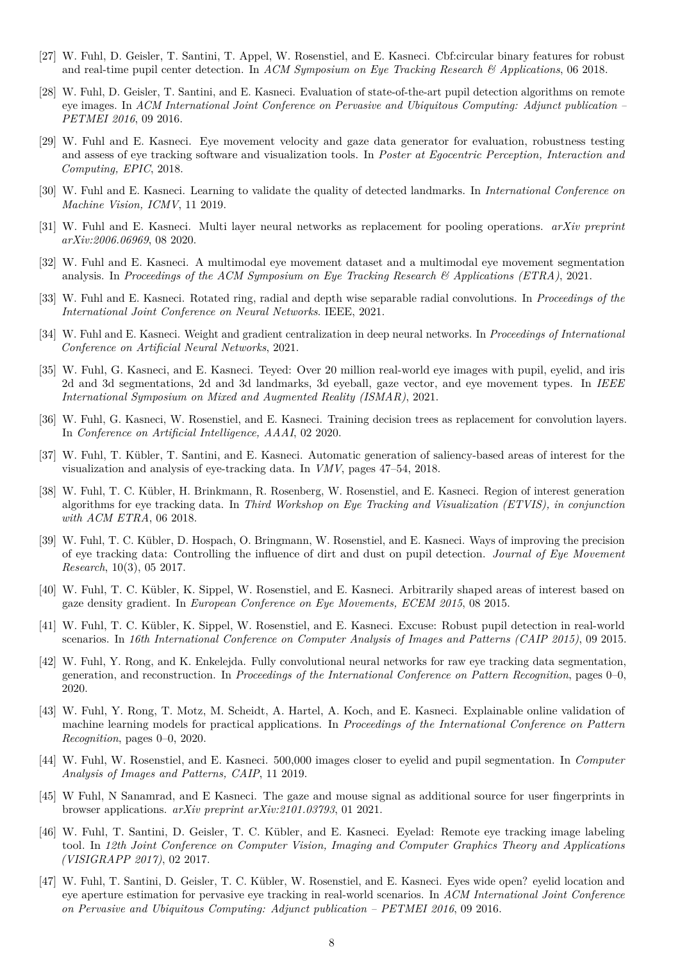- <span id="page-7-8"></span>[27] W. Fuhl, D. Geisler, T. Santini, T. Appel, W. Rosenstiel, and E. Kasneci. Cbf:circular binary features for robust and real-time pupil center detection. In *ACM Symposium on Eye Tracking Research & Applications*, 06 2018.
- <span id="page-7-6"></span>[28] W. Fuhl, D. Geisler, T. Santini, and E. Kasneci. Evaluation of state-of-the-art pupil detection algorithms on remote eye images. In *ACM International Joint Conference on Pervasive and Ubiquitous Computing: Adjunct publication – PETMEI 2016*, 09 2016.
- <span id="page-7-17"></span>[29] W. Fuhl and E. Kasneci. Eye movement velocity and gaze data generator for evaluation, robustness testing and assess of eye tracking software and visualization tools. In *Poster at Egocentric Perception, Interaction and Computing, EPIC*, 2018.
- <span id="page-7-12"></span>[30] W. Fuhl and E. Kasneci. Learning to validate the quality of detected landmarks. In *International Conference on Machine Vision, ICMV*, 11 2019.
- <span id="page-7-14"></span>[31] W. Fuhl and E. Kasneci. Multi layer neural networks as replacement for pooling operations. *arXiv preprint arXiv:2006.06969*, 08 2020.
- <span id="page-7-18"></span>[32] W. Fuhl and E. Kasneci. A multimodal eye movement dataset and a multimodal eye movement segmentation analysis. In *Proceedings of the ACM Symposium on Eye Tracking Research & Applications (ETRA)*, 2021.
- <span id="page-7-16"></span>[33] W. Fuhl and E. Kasneci. Rotated ring, radial and depth wise separable radial convolutions. In *Proceedings of the International Joint Conference on Neural Networks*. IEEE, 2021.
- <span id="page-7-15"></span>[34] W. Fuhl and E. Kasneci. Weight and gradient centralization in deep neural networks. In *Proceedings of International Conference on Artificial Neural Networks*, 2021.
- <span id="page-7-10"></span>[35] W. Fuhl, G. Kasneci, and E. Kasneci. Teyed: Over 20 million real-world eye images with pupil, eyelid, and iris 2d and 3d segmentations, 2d and 3d landmarks, 3d eyeball, gaze vector, and eye movement types. In *IEEE International Symposium on Mixed and Augmented Reality (ISMAR)*, 2021.
- <span id="page-7-13"></span>[36] W. Fuhl, G. Kasneci, W. Rosenstiel, and E. Kasneci. Training decision trees as replacement for convolution layers. In *Conference on Artificial Intelligence, AAAI*, 02 2020.
- <span id="page-7-0"></span>[37] W. Fuhl, T. Kübler, T. Santini, and E. Kasneci. Automatic generation of saliency-based areas of interest for the visualization and analysis of eye-tracking data. In *VMV*, pages 47–54, 2018.
- <span id="page-7-1"></span>[38] W. Fuhl, T. C. Kübler, H. Brinkmann, R. Rosenberg, W. Rosenstiel, and E. Kasneci. Region of interest generation algorithms for eye tracking data. In *Third Workshop on Eye Tracking and Visualization (ETVIS), in conjunction with ACM ETRA*, 06 2018.
- <span id="page-7-7"></span>[39] W. Fuhl, T. C. Kübler, D. Hospach, O. Bringmann, W. Rosenstiel, and E. Kasneci. Ways of improving the precision of eye tracking data: Controlling the influence of dirt and dust on pupil detection. *Journal of Eye Movement Research*, 10(3), 05 2017.
- <span id="page-7-2"></span>[40] W. Fuhl, T. C. Kübler, K. Sippel, W. Rosenstiel, and E. Kasneci. Arbitrarily shaped areas of interest based on gaze density gradient. In *European Conference on Eye Movements, ECEM 2015*, 08 2015.
- <span id="page-7-5"></span>[41] W. Fuhl, T. C. Kübler, K. Sippel, W. Rosenstiel, and E. Kasneci. Excuse: Robust pupil detection in real-world scenarios. In *16th International Conference on Computer Analysis of Images and Patterns (CAIP 2015)*, 09 2015.
- <span id="page-7-19"></span>[42] W. Fuhl, Y. Rong, and K. Enkelejda. Fully convolutional neural networks for raw eye tracking data segmentation, generation, and reconstruction. In *Proceedings of the International Conference on Pattern Recognition*, pages 0–0, 2020.
- <span id="page-7-11"></span>[43] W. Fuhl, Y. Rong, T. Motz, M. Scheidt, A. Hartel, A. Koch, and E. Kasneci. Explainable online validation of machine learning models for practical applications. In *Proceedings of the International Conference on Pattern Recognition*, pages 0–0, 2020.
- <span id="page-7-9"></span>[44] W. Fuhl, W. Rosenstiel, and E. Kasneci. 500,000 images closer to eyelid and pupil segmentation. In *Computer Analysis of Images and Patterns, CAIP*, 11 2019.
- <span id="page-7-20"></span>[45] W Fuhl, N Sanamrad, and E Kasneci. The gaze and mouse signal as additional source for user fingerprints in browser applications. *arXiv preprint arXiv:2101.03793*, 01 2021.
- <span id="page-7-4"></span>[46] W. Fuhl, T. Santini, D. Geisler, T. C. Kübler, and E. Kasneci. Eyelad: Remote eye tracking image labeling tool. In *12th Joint Conference on Computer Vision, Imaging and Computer Graphics Theory and Applications (VISIGRAPP 2017)*, 02 2017.
- <span id="page-7-3"></span>[47] W. Fuhl, T. Santini, D. Geisler, T. C. Kübler, W. Rosenstiel, and E. Kasneci. Eyes wide open? eyelid location and eye aperture estimation for pervasive eye tracking in real-world scenarios. In *ACM International Joint Conference on Pervasive and Ubiquitous Computing: Adjunct publication – PETMEI 2016*, 09 2016.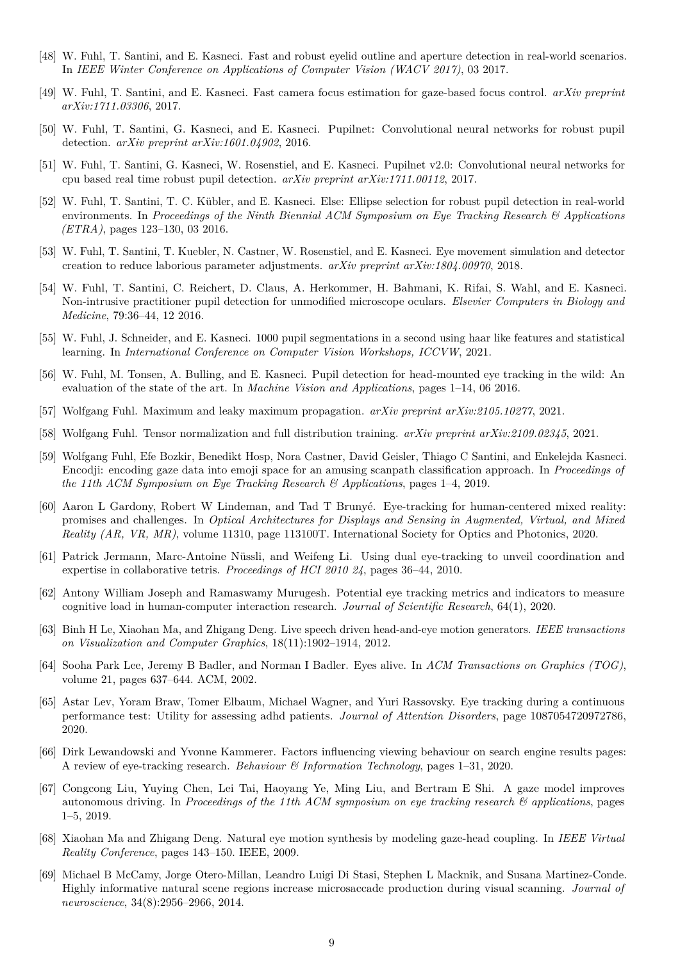- <span id="page-8-6"></span>[48] W. Fuhl, T. Santini, and E. Kasneci. Fast and robust eyelid outline and aperture detection in real-world scenarios. In *IEEE Winter Conference on Applications of Computer Vision (WACV 2017)*, 03 2017.
- <span id="page-8-13"></span>[49] W. Fuhl, T. Santini, and E. Kasneci. Fast camera focus estimation for gaze-based focus control. *arXiv preprint arXiv:1711.03306*, 2017.
- <span id="page-8-10"></span>[50] W. Fuhl, T. Santini, G. Kasneci, and E. Kasneci. Pupilnet: Convolutional neural networks for robust pupil detection. *arXiv preprint arXiv:1601.04902*, 2016.
- <span id="page-8-9"></span>[51] W. Fuhl, T. Santini, G. Kasneci, W. Rosenstiel, and E. Kasneci. Pupilnet v2.0: Convolutional neural networks for cpu based real time robust pupil detection. *arXiv preprint arXiv:1711.00112*, 2017.
- <span id="page-8-7"></span>[52] W. Fuhl, T. Santini, T. C. Kübler, and E. Kasneci. Else: Ellipse selection for robust pupil detection in real-world environments. In *Proceedings of the Ninth Biennial ACM Symposium on Eye Tracking Research & Applications (ETRA)*, pages 123–130, 03 2016.
- <span id="page-8-21"></span>[53] W. Fuhl, T. Santini, T. Kuebler, N. Castner, W. Rosenstiel, and E. Kasneci. Eye movement simulation and detector creation to reduce laborious parameter adjustments. *arXiv preprint arXiv:1804.00970*, 2018.
- <span id="page-8-11"></span>[54] W. Fuhl, T. Santini, C. Reichert, D. Claus, A. Herkommer, H. Bahmani, K. Rifai, S. Wahl, and E. Kasneci. Non-intrusive practitioner pupil detection for unmodified microscope oculars. *Elsevier Computers in Biology and Medicine*, 79:36–44, 12 2016.
- <span id="page-8-12"></span>[55] W. Fuhl, J. Schneider, and E. Kasneci. 1000 pupil segmentations in a second using haar like features and statistical learning. In *International Conference on Computer Vision Workshops, ICCVW*, 2021.
- <span id="page-8-8"></span>[56] W. Fuhl, M. Tonsen, A. Bulling, and E. Kasneci. Pupil detection for head-mounted eye tracking in the wild: An evaluation of the state of the art. In *Machine Vision and Applications*, pages 1–14, 06 2016.
- <span id="page-8-14"></span>[57] Wolfgang Fuhl. Maximum and leaky maximum propagation. *arXiv preprint arXiv:2105.10277*, 2021.
- <span id="page-8-15"></span>[58] Wolfgang Fuhl. Tensor normalization and full distribution training. *arXiv preprint arXiv:2109.02345*, 2021.
- <span id="page-8-19"></span>[59] Wolfgang Fuhl, Efe Bozkir, Benedikt Hosp, Nora Castner, David Geisler, Thiago C Santini, and Enkelejda Kasneci. Encodji: encoding gaze data into emoji space for an amusing scanpath classification approach. In *Proceedings of the 11th ACM Symposium on Eye Tracking Research & Applications*, pages 1–4, 2019.
- <span id="page-8-0"></span>[60] Aaron L Gardony, Robert W Lindeman, and Tad T Brunyé. Eye-tracking for human-centered mixed reality: promises and challenges. In *Optical Architectures for Displays and Sensing in Augmented, Virtual, and Mixed Reality (AR, VR, MR)*, volume 11310, page 113100T. International Society for Optics and Photonics, 2020.
- <span id="page-8-4"></span>[61] Patrick Jermann, Marc-Antoine Nüssli, and Weifeng Li. Using dual eye-tracking to unveil coordination and expertise in collaborative tetris. *Proceedings of HCI 2010 24*, pages 36–44, 2010.
- <span id="page-8-1"></span>[62] Antony William Joseph and Ramaswamy Murugesh. Potential eye tracking metrics and indicators to measure cognitive load in human-computer interaction research. *Journal of Scientific Research*, 64(1), 2020.
- <span id="page-8-18"></span>[63] Binh H Le, Xiaohan Ma, and Zhigang Deng. Live speech driven head-and-eye motion generators. *IEEE transactions on Visualization and Computer Graphics*, 18(11):1902–1914, 2012.
- <span id="page-8-16"></span>[64] Sooha Park Lee, Jeremy B Badler, and Norman I Badler. Eyes alive. In *ACM Transactions on Graphics (TOG)*, volume 21, pages 637–644. ACM, 2002.
- <span id="page-8-2"></span>[65] Astar Lev, Yoram Braw, Tomer Elbaum, Michael Wagner, and Yuri Rassovsky. Eye tracking during a continuous performance test: Utility for assessing adhd patients. *Journal of Attention Disorders*, page 1087054720972786, 2020.
- <span id="page-8-3"></span>[66] Dirk Lewandowski and Yvonne Kammerer. Factors influencing viewing behaviour on search engine results pages: A review of eye-tracking research. *Behaviour & Information Technology*, pages 1–31, 2020.
- <span id="page-8-5"></span>[67] Congcong Liu, Yuying Chen, Lei Tai, Haoyang Ye, Ming Liu, and Bertram E Shi. A gaze model improves autonomous driving. In *Proceedings of the 11th ACM symposium on eye tracking research & applications*, pages 1–5, 2019.
- <span id="page-8-17"></span>[68] Xiaohan Ma and Zhigang Deng. Natural eye motion synthesis by modeling gaze-head coupling. In *IEEE Virtual Reality Conference*, pages 143–150. IEEE, 2009.
- <span id="page-8-20"></span>[69] Michael B McCamy, Jorge Otero-Millan, Leandro Luigi Di Stasi, Stephen L Macknik, and Susana Martinez-Conde. Highly informative natural scene regions increase microsaccade production during visual scanning. *Journal of neuroscience*, 34(8):2956–2966, 2014.